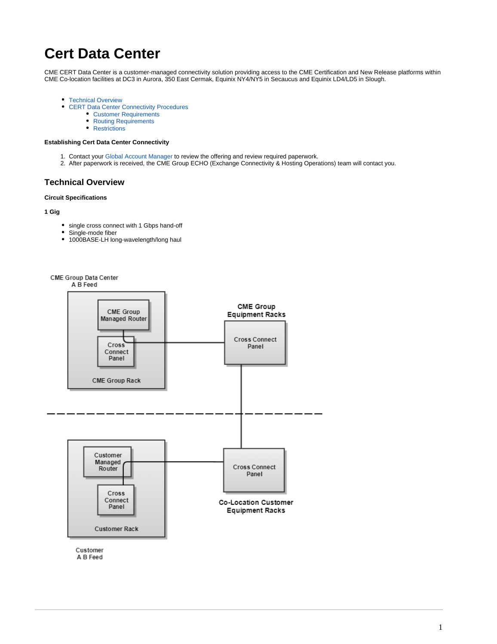# **Cert Data Center**

CME CERT Data Center is a customer-managed connectivity solution providing access to the CME Certification and New Release platforms within CME Co-location facilities at DC3 in Aurora, 350 East Cermak, Equinix NY4/NY5 in Secaucus and Equinix LD4/LD5 in Slough.

- **[Technical Overview](#page-0-0)**
- [CERT Data Center Connectivity Procedures](#page-1-0)
	- [Customer Requirements](#page-1-1)
	- [Routing Requirements](#page-1-2)
	- $\bullet$ **[Restrictions](#page-1-3)**

## **Establishing Cert Data Center Connectivity**

- 1. Contact your [Global Account Manager](https://www.cmegroup.com/confluence/display/EPICSANDBOX/Contact+Information#ContactInformation-GlobalAccountManagement(GAM)) to review the offering and review required paperwork.
- 2. After paperwork is received, the CME Group ECHO (Exchange Connectivity & Hosting Operations) team will contact you.

## <span id="page-0-0"></span>**Technical Overview**

#### **Circuit Specifications**

**1 Gig**

- single cross connect with 1 Gbps hand-off
- Single-mode fiber
- 1000BASE-LH long-wavelength/long haul